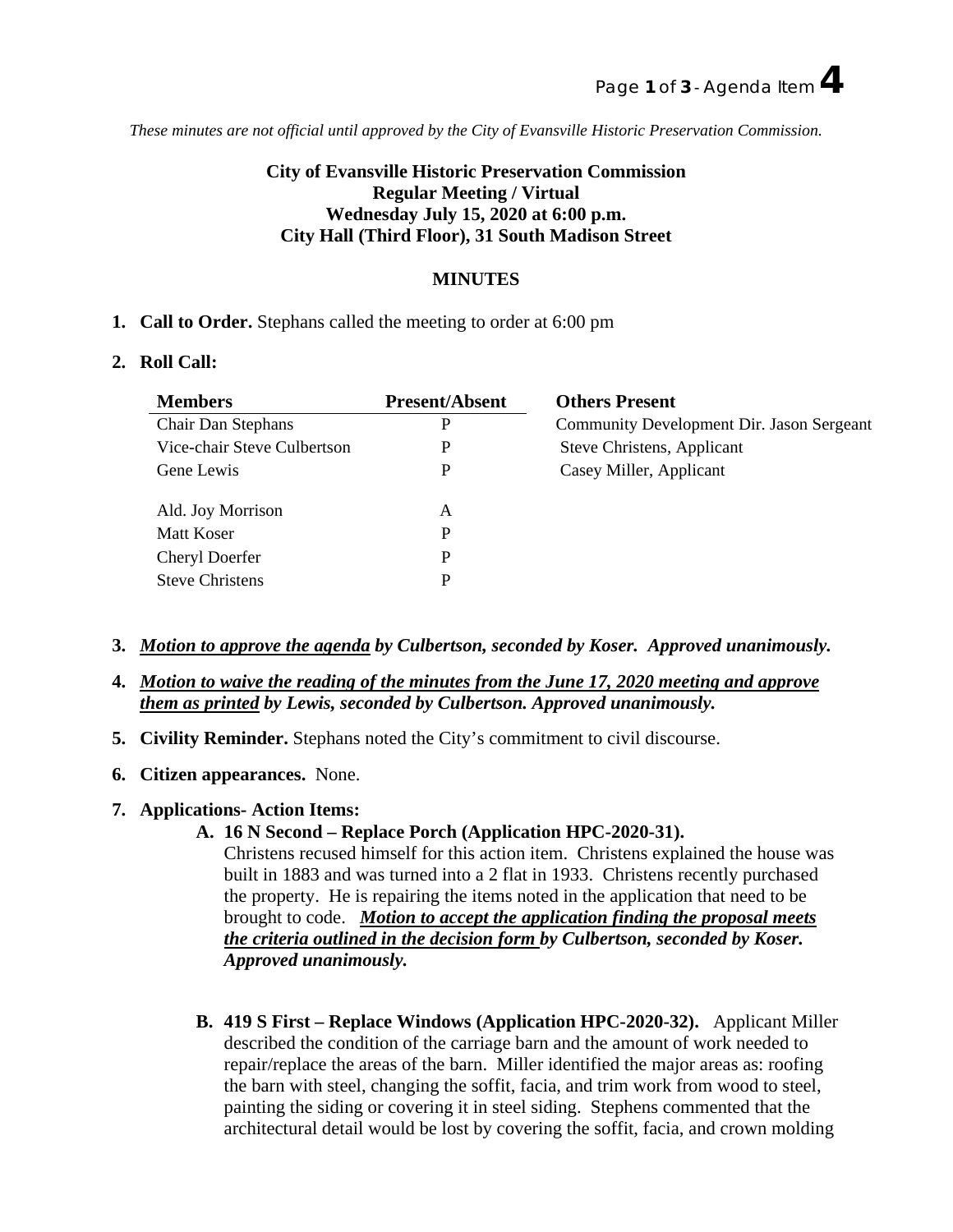*These minutes are not official until approved by the City of Evansville Historic Preservation Commission.*

# **City of Evansville Historic Preservation Commission Regular Meeting / Virtual Wednesday July 15, 2020 at 6:00 p.m. City Hall (Third Floor), 31 South Madison Street**

## **MINUTES**

**1. Call to Order.** Stephans called the meeting to order at 6:00 pm

### **2. Roll Call:**

| <b>Members</b>              | <b>Present/Absent</b> | <b>Others Present</b>                     |
|-----------------------------|-----------------------|-------------------------------------------|
| Chair Dan Stephans          |                       | Community Development Dir. Jason Sergeant |
| Vice-chair Steve Culbertson |                       | Steve Christens, Applicant                |
| Gene Lewis                  |                       | Casey Miller, Applicant                   |
| Ald. Joy Morrison           |                       |                                           |
| Matt Koser                  |                       |                                           |
| Cheryl Doerfer              |                       |                                           |
| <b>Steve Christens</b>      |                       |                                           |

- **3.** *Motion to approve the agenda by Culbertson, seconded by Koser. Approved unanimously.*
- **4.** *Motion to waive the reading of the minutes from the June 17, 2020 meeting and approve them as printed by Lewis, seconded by Culbertson. Approved unanimously.*
- **5. Civility Reminder.** Stephans noted the City's commitment to civil discourse.
- **6. Citizen appearances.** None.
- **7. Applications- Action Items:** 
	- **A. 16 N Second – Replace Porch (Application HPC-2020-31).**

Christens recused himself for this action item. Christens explained the house was built in 1883 and was turned into a 2 flat in 1933. Christens recently purchased the property. He is repairing the items noted in the application that need to be brought to code. *Motion to accept the application finding the proposal meets the criteria outlined in the decision form by Culbertson, seconded by Koser. Approved unanimously.*

**B. 419 S First – Replace Windows (Application HPC-2020-32).** Applicant Miller described the condition of the carriage barn and the amount of work needed to repair/replace the areas of the barn. Miller identified the major areas as: roofing the barn with steel, changing the soffit, facia, and trim work from wood to steel, painting the siding or covering it in steel siding. Stephens commented that the architectural detail would be lost by covering the soffit, facia, and crown molding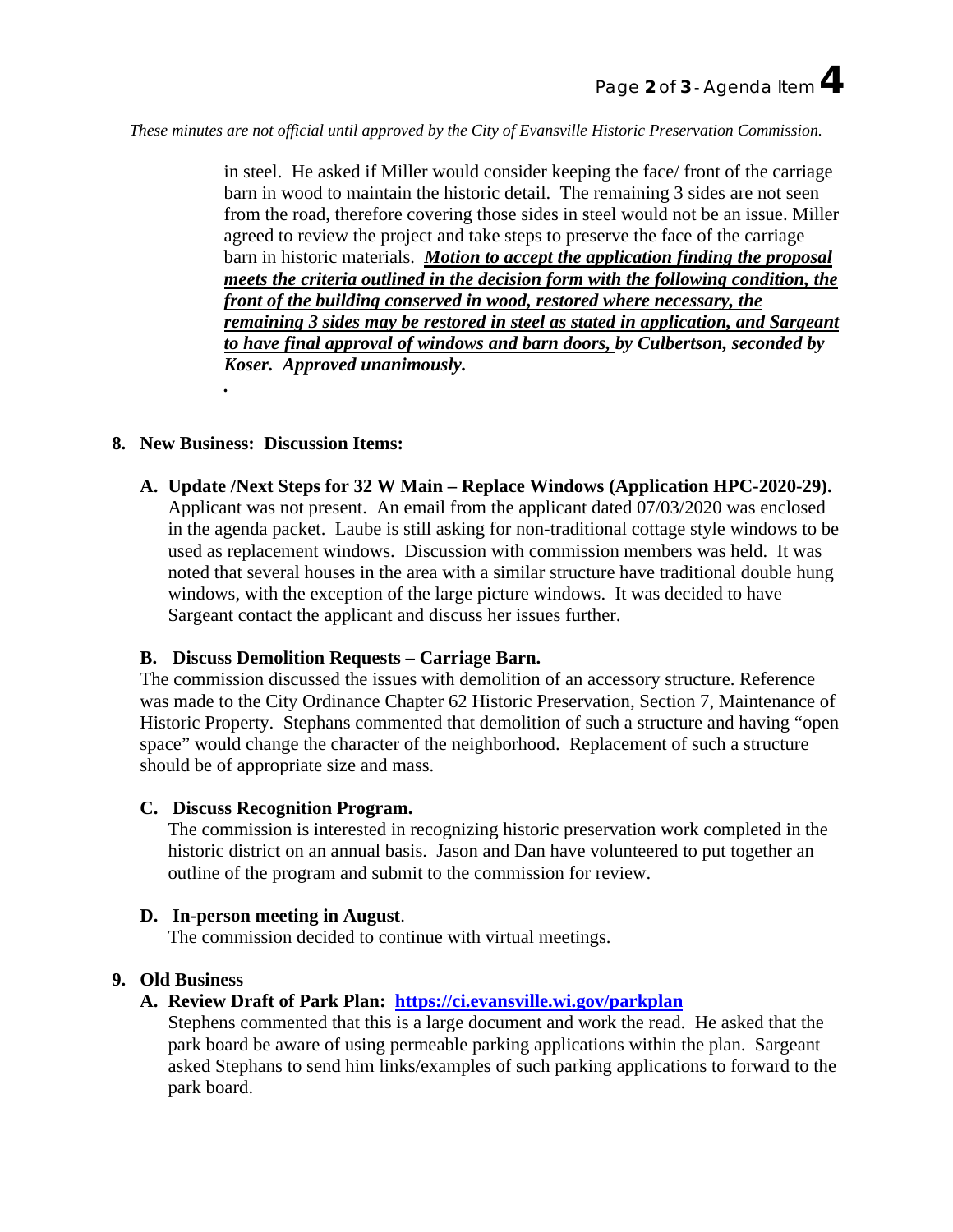*These minutes are not official until approved by the City of Evansville Historic Preservation Commission.*

in steel. He asked if Miller would consider keeping the face/ front of the carriage barn in wood to maintain the historic detail. The remaining 3 sides are not seen from the road, therefore covering those sides in steel would not be an issue. Miller agreed to review the project and take steps to preserve the face of the carriage barn in historic materials. *Motion to accept the application finding the proposal meets the criteria outlined in the decision form with the following condition, the front of the building conserved in wood, restored where necessary, the remaining 3 sides may be restored in steel as stated in application, and Sargeant to have final approval of windows and barn doors, by Culbertson, seconded by Koser. Approved unanimously.*

#### **8. New Business: Discussion Items:**

*.*

**A. Update /Next Steps for 32 W Main – Replace Windows (Application HPC-2020-29).**  Applicant was not present. An email from the applicant dated 07/03/2020 was enclosed in the agenda packet. Laube is still asking for non-traditional cottage style windows to be used as replacement windows. Discussion with commission members was held. It was

noted that several houses in the area with a similar structure have traditional double hung windows, with the exception of the large picture windows. It was decided to have Sargeant contact the applicant and discuss her issues further.

### **B. Discuss Demolition Requests – Carriage Barn.**

The commission discussed the issues with demolition of an accessory structure. Reference was made to the City Ordinance Chapter 62 Historic Preservation, Section 7, Maintenance of Historic Property. Stephans commented that demolition of such a structure and having "open space" would change the character of the neighborhood. Replacement of such a structure should be of appropriate size and mass.

#### **C. Discuss Recognition Program.**

The commission is interested in recognizing historic preservation work completed in the historic district on an annual basis. Jason and Dan have volunteered to put together an outline of the program and submit to the commission for review.

### **D. In-person meeting in August**.

The commission decided to continue with virtual meetings.

#### **9. Old Business**

### **A. Review Draft of Park Plan: <https://ci.evansville.wi.gov/parkplan>**

Stephens commented that this is a large document and work the read. He asked that the park board be aware of using permeable parking applications within the plan. Sargeant asked Stephans to send him links/examples of such parking applications to forward to the park board.